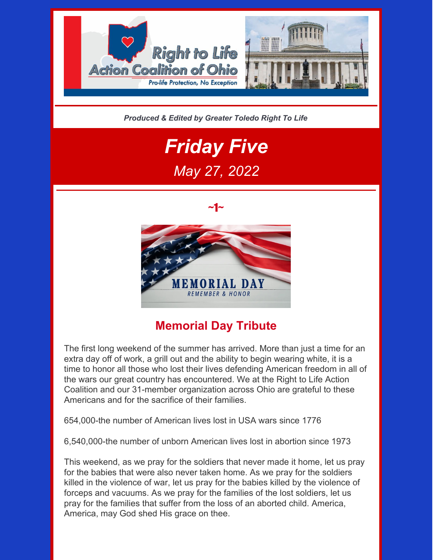

*Produced & Edited by Greater Toledo Right To Life*

# *Friday Five May 27, 2022*





## **Memorial Day Tribute**

The first long weekend of the summer has arrived. More than just a time for an extra day off of work, a grill out and the ability to begin wearing white, it is a time to honor all those who lost their lives defending American freedom in all of the wars our great country has encountered. We at the Right to Life Action Coalition and our 31-member organization across Ohio are grateful to these Americans and for the sacrifice of their families.

654,000-the number of American lives lost in USA wars since 1776

6,540,000-the number of unborn American lives lost in abortion since 1973

This weekend, as we pray for the soldiers that never made it home, let us pray for the babies that were also never taken home. As we pray for the soldiers killed in the violence of war, let us pray for the babies killed by the violence of forceps and vacuums. As we pray for the families of the lost soldiers, let us pray for the families that suffer from the loss of an aborted child. America, America, may God shed His grace on thee.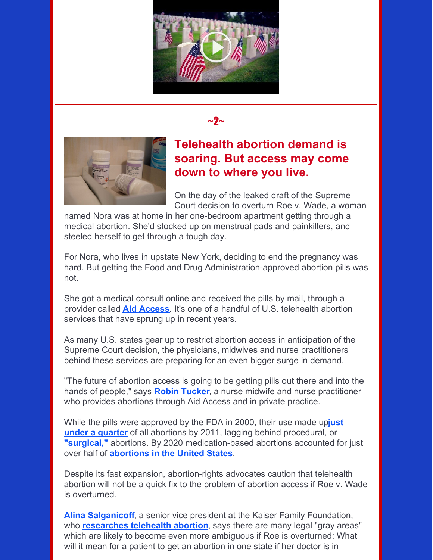





#### **Telehealth abortion demand is soaring. But access may come down to where you live.**

On the day of the leaked draft of the Supreme Court decision to overturn Roe v. Wade, a woman

named Nora was at home in her one-bedroom apartment getting through a medical abortion. She'd stocked up on menstrual pads and painkillers, and steeled herself to get through a tough day.

For Nora, who lives in upstate New York, deciding to end the pregnancy was hard. But getting the Food and Drug Administration-approved abortion pills was not.

She got a medical consult online and received the pills by mail, through a provider called **Aid [Access](https://aidaccess.org/en/)**. It's one of a handful of U.S. telehealth abortion services that have sprung up in recent years.

As many U.S. states gear up to restrict abortion access in anticipation of the Supreme Court decision, the physicians, midwives and nurse practitioners behind these services are preparing for an even bigger surge in demand.

"The future of abortion access is going to be getting pills out there and into the hands of people," says **Robin [Tucker](https://metroarea.health/about-us)**, a nurse midwife and nurse practitioner who provides abortions through Aid Access and in private practice.

While the pills were approved by the FDA in 2000, their use made up**just under a quarter** of all abortions by 2011, lagging behind [procedural,](https://www.guttmacher.org/article/2022/02/medication-abortion-now-accounts-more-half-all-us-abortions) or **["surgical,"](https://www.plannedparenthood.org/learn/abortion/in-clinic-abortion-procedures)** abortions. By 2020 medication-based abortions accounted for just over half of **[abortions](https://www.guttmacher.org/evidence-you-can-use/medication-abortion) in the United States**.

Despite its fast expansion, abortion-rights advocates caution that telehealth abortion will not be a quick fix to the problem of abortion access if Roe v. Wade is overturned.

**Alina [Salganicoff](https://www.kff.org/person/alina-salganicoff/?msclkid=f6646e98d13311ec94c600cb6ecee229)**, a senior vice president at the Kaiser Family Foundation, who **[researches](https://www.kff.org/womens-health-policy/issue-brief/the-intersection-of-state-and-federal-policies-on-access-to-medication-abortion-via-telehealth/?msclkid=8c114b89d13211eca6dea82126d2f377) telehealth abortion**, says there are many legal "gray areas" which are likely to become even more ambiguous if Roe is overturned: What will it mean for a patient to get an abortion in one state if her doctor is in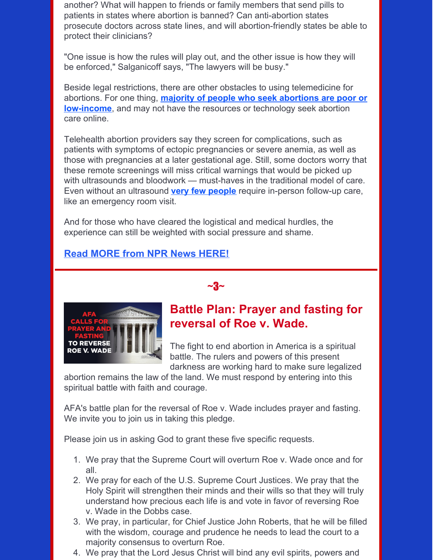another? What will happen to friends or family members that send pills to patients in states where abortion is banned? Can anti-abortion states prosecute doctors across state lines, and will abortion-friendly states be able to protect their clinicians?

"One issue is how the rules will play out, and the other issue is how they will be enforced," Salganicoff says, "The lawyers will be busy."

Beside legal restrictions, there are other obstacles to using telemedicine for abortions. For one thing, **majority of people who seek abortions are poor or [low-income](https://www.guttmacher.org/infographic/2016/abortion-patients-are-disproportionately-poor-and-low-income)**, and may not have the resources or technology seek abortion care online.

Telehealth abortion providers say they screen for complications, such as patients with symptoms of ectopic pregnancies or severe anemia, as well as those with pregnancies at a later gestational age. Still, some doctors worry that these remote screenings will miss critical warnings that would be picked up with ultrasounds and bloodwork — must-haves in the traditional model of care. Even without an ultrasound **very few [people](https://pubmed.ncbi.nlm.nih.gov/29170088/)** require in-person follow-up care, like an emergency room visit.

 $~\sim$ 3 $\sim$ 

And for those who have cleared the logistical and medical hurdles, the experience can still be weighted with social pressure and shame.

#### **Read MORE from NPR News [HERE!](https://www.npr.org/sections/health-shots/2022/05/20/1099179361/telehealth-abortions-are-simple-and-private-but-restricted-in-many-states)**



## **Battle Plan: Prayer and fasting for reversal of Roe v. Wade.**

The fight to end abortion in America is a spiritual battle. The rulers and powers of this present darkness are working hard to make sure legalized

abortion remains the law of the land. We must respond by entering into this spiritual battle with faith and courage.

AFA's battle plan for the reversal of Roe v. Wade includes prayer and fasting. We invite you to join us in taking this pledge.

Please join us in asking God to grant these five specific requests.

- 1. We pray that the Supreme Court will overturn Roe v. Wade once and for all.
- 2. We pray for each of the U.S. Supreme Court Justices. We pray that the Holy Spirit will strengthen their minds and their wills so that they will truly understand how precious each life is and vote in favor of reversing Roe v. Wade in the Dobbs case.
- 3. We pray, in particular, for Chief Justice John Roberts, that he will be filled with the wisdom, courage and prudence he needs to lead the court to a majority consensus to overturn Roe.
- 4. We pray that the Lord Jesus Christ will bind any evil spirits, powers and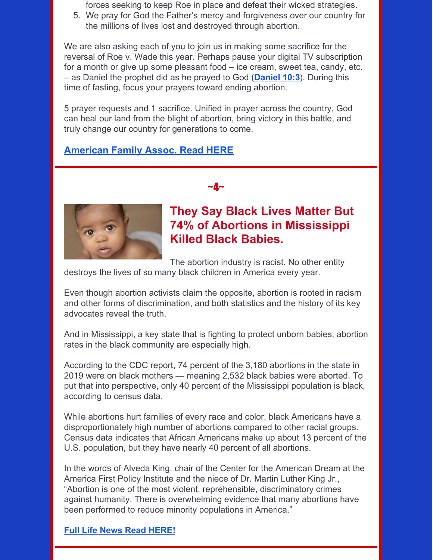forces seeking to keep Roe in place and defeat their wicked strategies.

5. We pray for God the Father's mercy and forgiveness over our country for the millions of lives lost and destroyed through abortion.

We are also asking each of you to join us in making some sacrifice for the reversal of Roe v. Wade this year. Perhaps pause your digital TV subscription for a month or give up some pleasant food – ice cream, sweet tea, candy, etc. – as Daniel the prophet did as he prayed to God (**[Daniel](https://biblia.com/bible/esv/Dan 10.3) 10:3**). During this time of fasting, focus your prayers toward ending abortion.

5 prayer requests and 1 sacrifice. Unified in prayer across the country, God can heal our land from the blight of abortion, bring victory in this battle, and truly change our country for generations to come.

 $\sim$ 4 $\sim$ 

#### **[American](https://www.afa.net/activism/action-alerts/2022/afas-battle-plan-prayer-and-fasting-for-reversal-of-roe-v-wade) Family Assoc. Read HERE**



#### **They Say Black Lives Matter But 74% of Abortions in Mississippi Killed Black Babies.**

The abortion industry is racist. No other entity

destroys the lives of so many black children in America every year.

Even though abortion activists claim the opposite, abortion is rooted in racism and other forms of discrimination, and both statistics and the history of its key advocates reveal the truth.

And in Mississippi, a key state that is fighting to protect unborn babies, abortion rates in the black community are especially high.

According to the CDC report, 74 percent of the 3,180 abortions in the state in 2019 were on black mothers — meaning 2,532 black babies were aborted. To put that into perspective, only 40 percent of the Mississippi population is black, according to census data.

While abortions hurt families of every race and color, black Americans have a disproportionately high number of abortions compared to other racial groups. Census data indicates that African Americans make up about 13 percent of the U.S. population, but they have nearly 40 percent of all abortions.

In the words of Alveda King, chair of the Center for the American Dream at the America First Policy Institute and the niece of Dr. Martin Luther King Jr., "Abortion is one of the most violent, reprehensible, discriminatory crimes against humanity. There is overwhelming evidence that many abortions have been performed to reduce minority populations in America."

#### **Full Life News Read [HERE!](https://www.lifenews.com/2022/05/24/they-say-black-lives-matter-but-74-of-abortions-in-mississippi-killed-black-babies/)**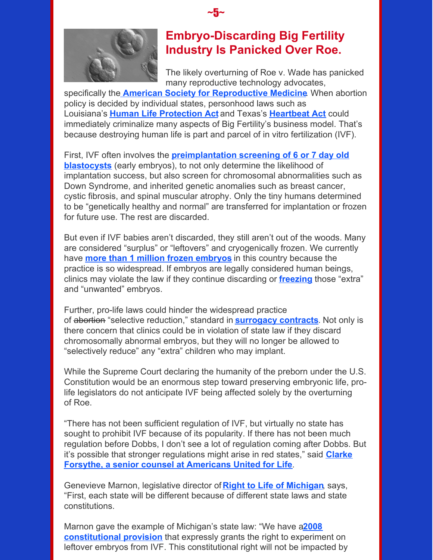

## **Embryo-Discarding Big Fertility Industry Is Panicked Over Roe.**

The likely overturning of Roe v. Wade has panicked many reproductive technology advocates,

specifically the **American Society for [Reproductive](https://www.reproductivefacts.org/news-and-publications/news-and-research/press-releases-and-bulletins/asrm-issues-statement-regarding-roe-v.-wade-and-its-possible-implications-on-access-to-reproductive-care/) Medicine**. When abortion policy is decided by individual states, personhood laws such as Louisiana's **Human Life [Protection](http://legis.la.gov/Legis/Law.aspx?p=y&d=97020) Act** and Texas's **[Heartbeat](https://www.bbc.com/news/world-us-canada-58406496) Act** could immediately criminalize many aspects of Big Fertility's business model. That's because destroying human life is part and parcel of in vitro fertilization (IVF).

 $\sim$ 5 $\sim$ 

First, IVF often involves the **[preimplantation](https://fertilityinstitute.com/fertility-treatments/ivf/pgt/) screening of 6 or 7 day old blastocysts** (early embryos), to not only determine the likelihood of implantation success, but also screen for chromosomal abnormalities such as Down Syndrome, and inherited genetic anomalies such as breast cancer, cystic fibrosis, and spinal muscular atrophy. Only the tiny humans determined to be "genetically healthy and normal" are transferred for implantation or frozen for future use. The rest are discarded.

But even if IVF babies aren't discarded, they still aren't out of the woods. Many are considered "surplus" or "leftovers" and cryogenically frozen. We currently have **more than 1 million frozen [embryos](https://www.tandfonline.com/doi/full/10.1080/14636778.2018.1546574?journalCode=cngs20)** in this country because the practice is so widespread. If embryos are legally considered human beings, clinics may violate the law if they continue discarding or **[freezing](https://www.theguardian.com/us-news/2022/may/12/ivf-treatment-us-anti-abortion-laws-bills)** those "extra" and "unwanted" embryos.

Further, pro-life laws could hinder the widespread practice of abortion "selective reduction," standard in **[surrogacy](https://thembeforeus.com/dear-legislative-allies-this-is-how-surrogacy-harms-children/) contracts**. Not only is there concern that clinics could be in violation of state law if they discard chromosomally abnormal embryos, but they will no longer be allowed to "selectively reduce" any "extra" children who may implant.

While the Supreme Court declaring the humanity of the preborn under the U.S. Constitution would be an enormous step toward preserving embryonic life, prolife legislators do not anticipate IVF being affected solely by the overturning of Roe.

"There has not been sufficient regulation of IVF, but virtually no state has sought to prohibit IVF because of its popularity. If there has not been much regulation before Dobbs, I don't see a lot of regulation coming after Dobbs. But it's possible that stronger [regulations](https://aul.org/author/clarkeforsytheaul/) might arise in red states," said **Clarke Forsythe, a senior counsel at Americans United for Life**.

Genevieve Marnon, legislative director of **Right to Life of [Michigan](https://rtl.org/)**, says, "First, each state will be different because of different state laws and state constitutions.

Marnon gave the example of Michigan's state law: "We have a**2008 [constitutional](http://www.legislature.mi.gov/(S(enqs452xmlf4pud1d2vz34t0))/mileg.aspx?page=GetObject&objectname=mcl-Article-I-27) provision** that expressly grants the right to experiment on leftover embryos from IVF. This constitutional right will not be impacted by